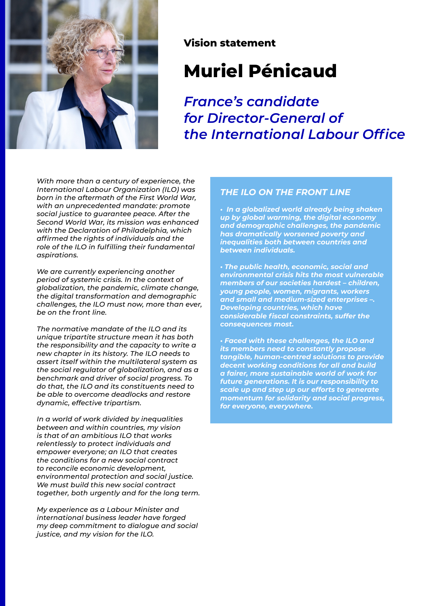

#### **Vision statement**

# **Muriel Pénicaud**

*France's candidate for Director-General of the International Labour Office*

*With more than a century of experience, the International Labour Organization (ILO) was born in the aftermath of the First World War, with an unprecedented mandate: promote social justice to guarantee peace. After the Second World War, its mission was enhanced with the Declaration of Philadelphia, which affirmed the rights of individuals and the role of the ILO in fulfilling their fundamental aspirations.*

*We are currently experiencing another period of systemic crisis. In the context of globalization, the pandemic, climate change, the digital transformation and demographic challenges, the ILO must now, more than ever, be on the front line.*

*The normative mandate of the ILO and its unique tripartite structure mean it has both the responsibility and the capacity to write a new chapter in its history. The ILO needs to assert itself within the multilateral system as the social regulator of globalization, and as a benchmark and driver of social progress. To do that, the ILO and its constituents need to be able to overcome deadlocks and restore dynamic, effective tripartism.*

*In a world of work divided by inequalities between and within countries, my vision is that of an ambitious ILO that works relentlessly to protect individuals and empower everyone; an ILO that creates the conditions for a new social contract to reconcile economic development, environmental protection and social justice. We must build this new social contract together, both urgently and for the long term.*

*My experience as a Labour Minister and international business leader have forged my deep commitment to dialogue and social justice, and my vision for the ILO.*

#### *THE ILO ON THE FRONT LINE*

*• In a globalized world already being shaken up by global warming, the digital economy and demographic challenges, the pandemic has dramatically worsened poverty and inequalities both between countries and between individuals.*

*• The public health, economic, social and environmental crisis hits the most vulnerable members of our societies hardest – children, young people, women, migrants, workers and small and medium-sized enterprises –. Developing countries, which have considerable fiscal constraints, suffer the consequences most.*

*• Faced with these challenges, the ILO and its members need to constantly propose tangible, human-centred solutions to provide decent working conditions for all and build a fairer, more sustainable world of work for future generations. It is our responsibility to scale up and step up our efforts to generate momentum for solidarity and social progress, for everyone, everywhere.*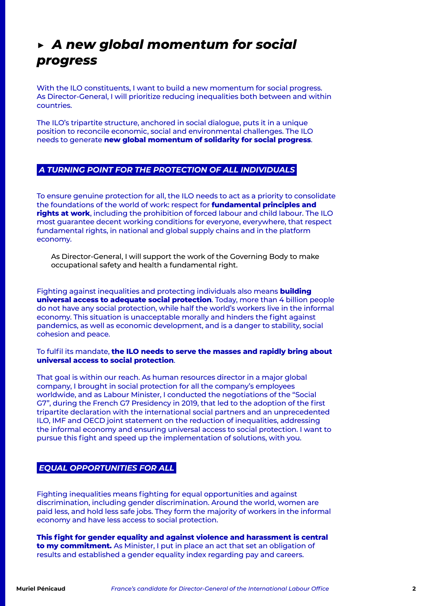### *▶ A new global momentum for social progress*

With the ILO constituents, I want to build a new momentum for social progress. As Director-General, I will prioritize reducing inequalities both between and within countries.

The ILO's tripartite structure, anchored in social dialogue, puts it in a unique position to reconcile economic, social and environmental challenges. The ILO needs to generate **new global momentum of solidarity for social progress**.

#### *A TURNING POINT FOR THE PROTECTION OF ALL INDIVIDUALS*

To ensure genuine protection for all, the ILO needs to act as a priority to consolidate the foundations of the world of work: respect for **fundamental principles and rights at work**, including the prohibition of forced labour and child labour. The ILO most guarantee decent working conditions for everyone, everywhere, that respect fundamental rights, in national and global supply chains and in the platform economy.

As Director-General, I will support the work of the Governing Body to make occupational safety and health a fundamental right.

Fighting against inequalities and protecting individuals also means **building universal access to adequate social protection**. Today, more than 4 billion people do not have any social protection, while half the world's workers live in the informal economy. This situation is unacceptable morally and hinders the fight against pandemics, as well as economic development, and is a danger to stability, social cohesion and peace.

#### To fulfil its mandate, **the ILO needs to serve the masses and rapidly bring about universal access to social protection**.

That goal is within our reach. As human resources director in a major global company, I brought in social protection for all the company's employees worldwide, and as Labour Minister, I conducted the negotiations of the "Social G7", during the French G7 Presidency in 2019, that led to the adoption of the first tripartite declaration with the international social partners and an unprecedented ILO, IMF and OECD joint statement on the reduction of inequalities, addressing the informal economy and ensuring universal access to social protection. I want to pursue this fight and speed up the implementation of solutions, with you.

#### *EQUAL OPPORTUNITIES FOR ALL*

Fighting inequalities means fighting for equal opportunities and against discrimination, including gender discrimination. Around the world, women are paid less, and hold less safe jobs. They form the majority of workers in the informal economy and have less access to social protection.

**This fight for gender equality and against violence and harassment is central to my commitment.** As Minister, I put in place an act that set an obligation of results and established a gender equality index regarding pay and careers.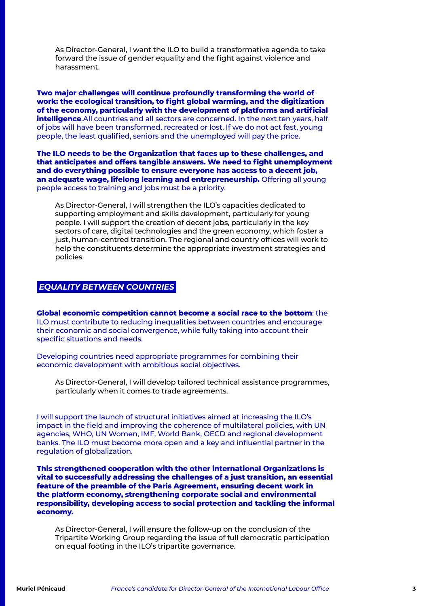As Director-General, I want the ILO to build a transformative agenda to take forward the issue of gender equality and the fight against violence and harassment.

**Two major challenges will continue profoundly transforming the world of work: the ecological transition, to fight global warming, and the digitization of the economy, particularly with the development of platforms and artificial intelligence**.All countries and all sectors are concerned. In the next ten years, half of jobs will have been transformed, recreated or lost. If we do not act fast, young people, the least qualified, seniors and the unemployed will pay the price.

**The ILO needs to be the Organization that faces up to these challenges, and that anticipates and offers tangible answers. We need to fight unemployment and do everything possible to ensure everyone has access to a decent job, an adequate wage, lifelong learning and entrepreneurship.** Offering all young people access to training and jobs must be a priority.

As Director-General, I will strengthen the ILO's capacities dedicated to supporting employment and skills development, particularly for young people. I will support the creation of decent jobs, particularly in the key sectors of care, digital technologies and the green economy, which foster a just, human-centred transition. The regional and country offices will work to help the constituents determine the appropriate investment strategies and policies.

#### *EQUALITY BETWEEN COUNTRIES*

**Global economic competition cannot become a social race to the bottom**: the ILO must contribute to reducing inequalities between countries and encourage their economic and social convergence, while fully taking into account their specific situations and needs.

Developing countries need appropriate programmes for combining their economic development with ambitious social objectives.

As Director-General, I will develop tailored technical assistance programmes, particularly when it comes to trade agreements.

I will support the launch of structural initiatives aimed at increasing the ILO's impact in the field and improving the coherence of multilateral policies, with UN agencies, WHO, UN Women, IMF, World Bank, OECD and regional development banks. The ILO must become more open and a key and influential partner in the regulation of globalization.

**This strengthened cooperation with the other international Organizations is vital to successfully addressing the challenges of a just transition, an essential feature of the preamble of the Paris Agreement, ensuring decent work in the platform economy, strengthening corporate social and environmental responsibility, developing access to social protection and tackling the informal economy.**

As Director-General, I will ensure the follow-up on the conclusion of the Tripartite Working Group regarding the issue of full democratic participation on equal footing in the ILO's tripartite governance.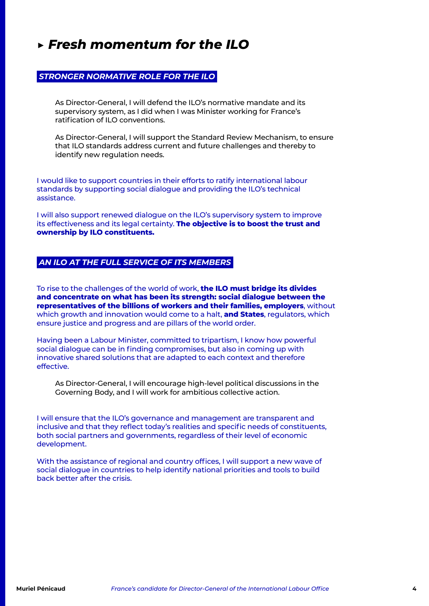### *▶ Fresh momentum for the ILO*

#### *STRONGER NORMATIVE ROLE FOR THE ILO*

As Director-General, I will defend the ILO's normative mandate and its supervisory system, as I did when I was Minister working for France's ratification of ILO conventions.

As Director-General, I will support the Standard Review Mechanism, to ensure that ILO standards address current and future challenges and thereby to identify new regulation needs.

I would like to support countries in their efforts to ratify international labour standards by supporting social dialogue and providing the ILO's technical assistance.

I will also support renewed dialogue on the ILO's supervisory system to improve its effectiveness and its legal certainty. **The objective is to boost the trust and ownership by ILO constituents.**

#### *AN ILO AT THE FULL SERVICE OF ITS MEMBERS*

To rise to the challenges of the world of work, **the ILO must bridge its divides and concentrate on what has been its strength: social dialogue between the representatives of the billions of workers and their families, employers**, without which growth and innovation would come to a halt, **and States**, regulators, which ensure justice and progress and are pillars of the world order.

Having been a Labour Minister, committed to tripartism, I know how powerful social dialogue can be in finding compromises, but also in coming up with innovative shared solutions that are adapted to each context and therefore effective.

As Director-General, I will encourage high-level political discussions in the Governing Body, and I will work for ambitious collective action.

I will ensure that the ILO's governance and management are transparent and inclusive and that they reflect today's realities and specific needs of constituents, both social partners and governments, regardless of their level of economic development.

With the assistance of regional and country offices, I will support a new wave of social dialogue in countries to help identify national priorities and tools to build back better after the crisis.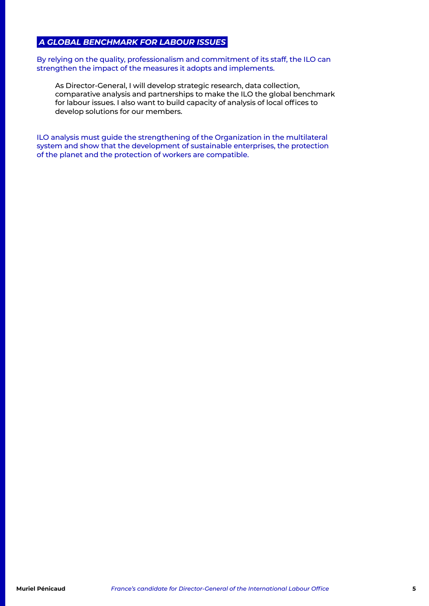#### *A GLOBAL BENCHMARK FOR LABOUR ISSUES*

By relying on the quality, professionalism and commitment of its staff, the ILO can strengthen the impact of the measures it adopts and implements.

As Director-General, I will develop strategic research, data collection, comparative analysis and partnerships to make the ILO the global benchmark for labour issues. I also want to build capacity of analysis of local offices to develop solutions for our members.

ILO analysis must guide the strengthening of the Organization in the multilateral system and show that the development of sustainable enterprises, the protection of the planet and the protection of workers are compatible.